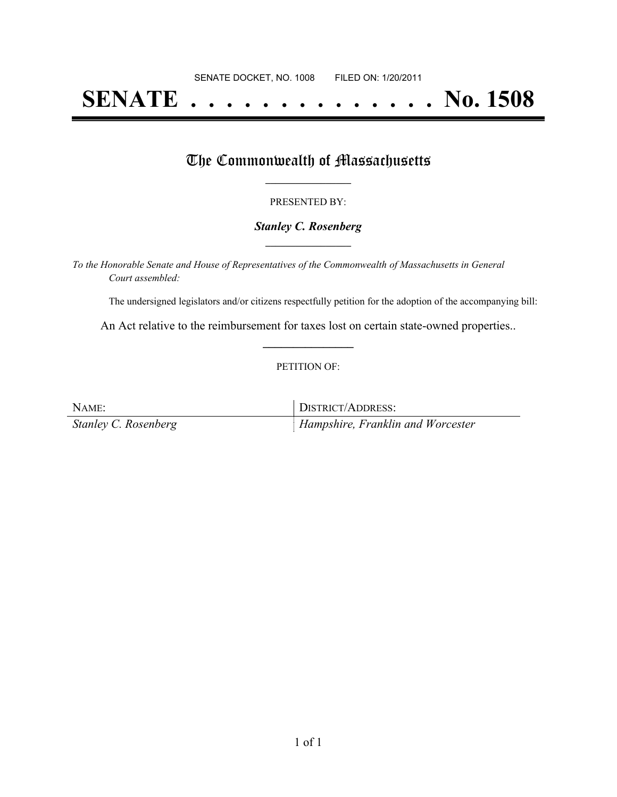# **SENATE . . . . . . . . . . . . . . No. 1508**

## The Commonwealth of Massachusetts

#### PRESENTED BY:

#### *Stanley C. Rosenberg* **\_\_\_\_\_\_\_\_\_\_\_\_\_\_\_\_\_**

*To the Honorable Senate and House of Representatives of the Commonwealth of Massachusetts in General Court assembled:*

The undersigned legislators and/or citizens respectfully petition for the adoption of the accompanying bill:

An Act relative to the reimbursement for taxes lost on certain state-owned properties.. **\_\_\_\_\_\_\_\_\_\_\_\_\_\_\_**

#### PETITION OF:

NAME: DISTRICT/ADDRESS: *Stanley C. Rosenberg Hampshire, Franklin and Worcester*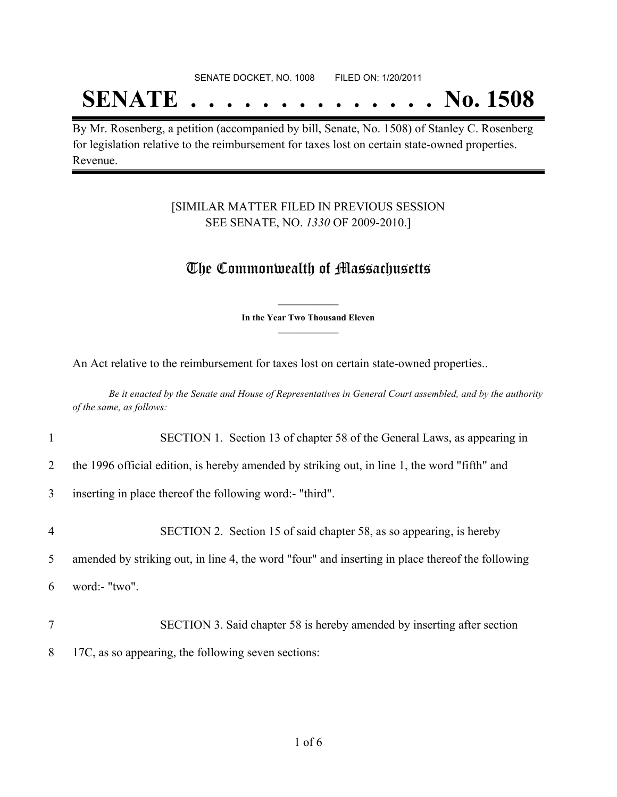SENATE DOCKET, NO. 1008 FILED ON: 1/20/2011

## **SENATE . . . . . . . . . . . . . . No. 1508**

By Mr. Rosenberg, a petition (accompanied by bill, Senate, No. 1508) of Stanley C. Rosenberg for legislation relative to the reimbursement for taxes lost on certain state-owned properties. Revenue.

### [SIMILAR MATTER FILED IN PREVIOUS SESSION SEE SENATE, NO. *1330* OF 2009-2010.]

## The Commonwealth of Massachusetts

**\_\_\_\_\_\_\_\_\_\_\_\_\_\_\_ In the Year Two Thousand Eleven \_\_\_\_\_\_\_\_\_\_\_\_\_\_\_**

An Act relative to the reimbursement for taxes lost on certain state-owned properties..

Be it enacted by the Senate and House of Representatives in General Court assembled, and by the authority *of the same, as follows:*

- 1 SECTION 1. Section 13 of chapter 58 of the General Laws, as appearing in
- 2 the 1996 official edition, is hereby amended by striking out, in line 1, the word "fifth" and
- 3 inserting in place thereof the following word:- "third".
- 4 SECTION 2. Section 15 of said chapter 58, as so appearing, is hereby 5 amended by striking out, in line 4, the word "four" and inserting in place thereof the following 6 word:- "two". 7 SECTION 3. Said chapter 58 is hereby amended by inserting after section
- 8 17C, as so appearing, the following seven sections: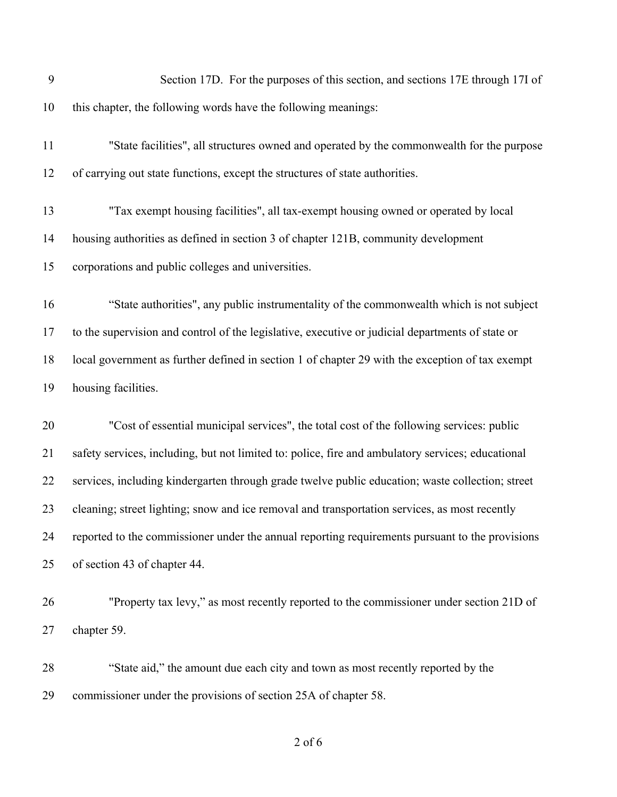|    | Section 17D. For the purposes of this section, and sections 17E through 17I of                    |
|----|---------------------------------------------------------------------------------------------------|
| 10 | this chapter, the following words have the following meanings:                                    |
| 11 | "State facilities", all structures owned and operated by the commonwealth for the purpose         |
| 12 | of carrying out state functions, except the structures of state authorities.                      |
| 13 | "Tax exempt housing facilities", all tax-exempt housing owned or operated by local                |
| 14 | housing authorities as defined in section 3 of chapter 121B, community development                |
| 15 | corporations and public colleges and universities.                                                |
| 16 | "State authorities", any public instrumentality of the commonwealth which is not subject          |
| 17 | to the supervision and control of the legislative, executive or judicial departments of state or  |
| 18 | local government as further defined in section 1 of chapter 29 with the exception of tax exempt   |
| 19 | housing facilities.                                                                               |
| 20 | "Cost of essential municipal services", the total cost of the following services: public          |
| 21 | safety services, including, but not limited to: police, fire and ambulatory services; educational |
| 22 | services, including kindergarten through grade twelve public education; waste collection; street  |
| 23 | cleaning; street lighting; snow and ice removal and transportation services, as most recently     |
| 24 | reported to the commissioner under the annual reporting requirements pursuant to the provisions   |
|    | of section 43 of chapter 44.                                                                      |
| 25 |                                                                                                   |
| 26 | "Property tax levy," as most recently reported to the commissioner under section 21D of           |
| 27 | chapter 59.                                                                                       |
| 28 | "State aid," the amount due each city and town as most recently reported by the                   |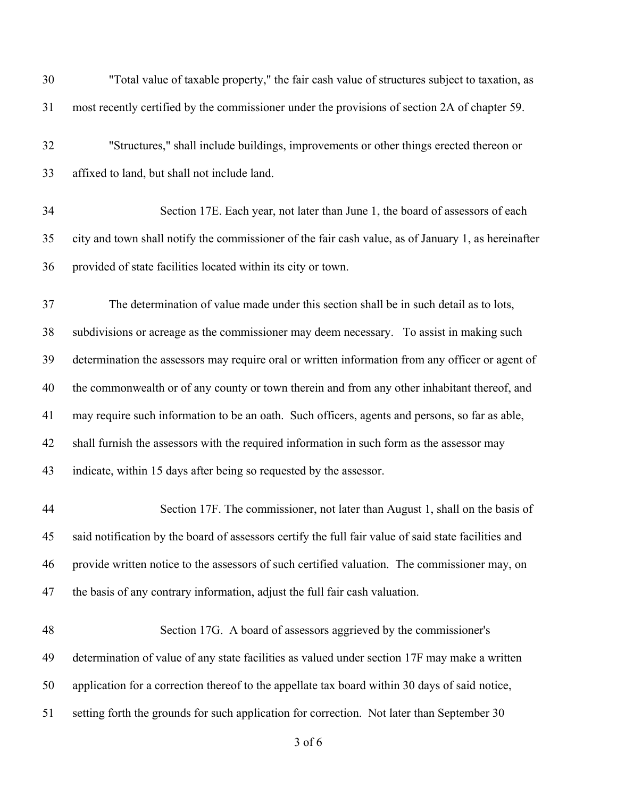| 30 | "Total value of taxable property," the fair cash value of structures subject to taxation, as         |
|----|------------------------------------------------------------------------------------------------------|
| 31 | most recently certified by the commissioner under the provisions of section 2A of chapter 59.        |
| 32 | "Structures," shall include buildings, improvements or other things erected thereon or               |
| 33 | affixed to land, but shall not include land.                                                         |
| 34 | Section 17E. Each year, not later than June 1, the board of assessors of each                        |
| 35 | city and town shall notify the commissioner of the fair cash value, as of January 1, as hereinafter  |
| 36 | provided of state facilities located within its city or town.                                        |
| 37 | The determination of value made under this section shall be in such detail as to lots,               |
| 38 | subdivisions or acreage as the commissioner may deem necessary. To assist in making such             |
| 39 | determination the assessors may require oral or written information from any officer or agent of     |
| 40 | the commonwealth or of any county or town therein and from any other inhabitant thereof, and         |
| 41 | may require such information to be an oath. Such officers, agents and persons, so far as able,       |
| 42 | shall furnish the assessors with the required information in such form as the assessor may           |
| 43 | indicate, within 15 days after being so requested by the assessor.                                   |
| 44 | Section 17F. The commissioner, not later than August 1, shall on the basis of                        |
| 45 | said notification by the board of assessors certify the full fair value of said state facilities and |
| 46 | provide written notice to the assessors of such certified valuation. The commissioner may, on        |
| 47 | the basis of any contrary information, adjust the full fair cash valuation.                          |
| 48 | Section 17G. A board of assessors aggrieved by the commissioner's                                    |
| 49 | determination of value of any state facilities as valued under section 17F may make a written        |
| 50 | application for a correction thereof to the appellate tax board within 30 days of said notice,       |
| 51 | setting forth the grounds for such application for correction. Not later than September 30           |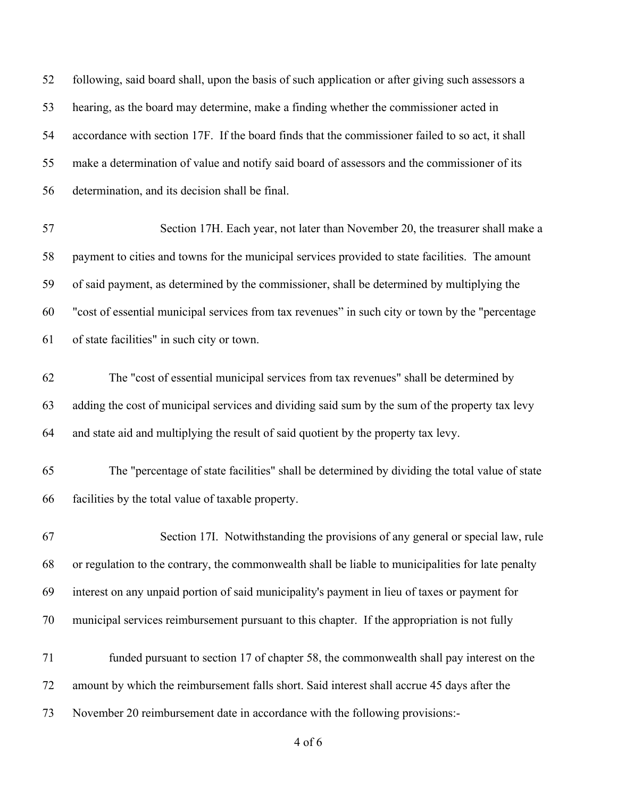| 52 | following, said board shall, upon the basis of such application or after giving such assessors a   |
|----|----------------------------------------------------------------------------------------------------|
| 53 | hearing, as the board may determine, make a finding whether the commissioner acted in              |
| 54 | accordance with section 17F. If the board finds that the commissioner failed to so act, it shall   |
| 55 | make a determination of value and notify said board of assessors and the commissioner of its       |
| 56 | determination, and its decision shall be final.                                                    |
| 57 | Section 17H. Each year, not later than November 20, the treasurer shall make a                     |
| 58 | payment to cities and towns for the municipal services provided to state facilities. The amount    |
| 59 | of said payment, as determined by the commissioner, shall be determined by multiplying the         |
| 60 | "cost of essential municipal services from tax revenues" in such city or town by the "percentage"  |
| 61 | of state facilities" in such city or town.                                                         |
| 62 | The "cost of essential municipal services from tax revenues" shall be determined by                |
| 63 | adding the cost of municipal services and dividing said sum by the sum of the property tax levy    |
| 64 | and state aid and multiplying the result of said quotient by the property tax levy.                |
| 65 | The "percentage of state facilities" shall be determined by dividing the total value of state      |
| 66 | facilities by the total value of taxable property.                                                 |
| 67 | Section 17I. Notwithstanding the provisions of any general or special law, rule                    |
| 68 | or regulation to the contrary, the commonwealth shall be liable to municipalities for late penalty |
| 69 | interest on any unpaid portion of said municipality's payment in lieu of taxes or payment for      |
| 70 | municipal services reimbursement pursuant to this chapter. If the appropriation is not fully       |
| 71 | funded pursuant to section 17 of chapter 58, the commonwealth shall pay interest on the            |
| 72 | amount by which the reimbursement falls short. Said interest shall accrue 45 days after the        |
| 73 | November 20 reimbursement date in accordance with the following provisions:-                       |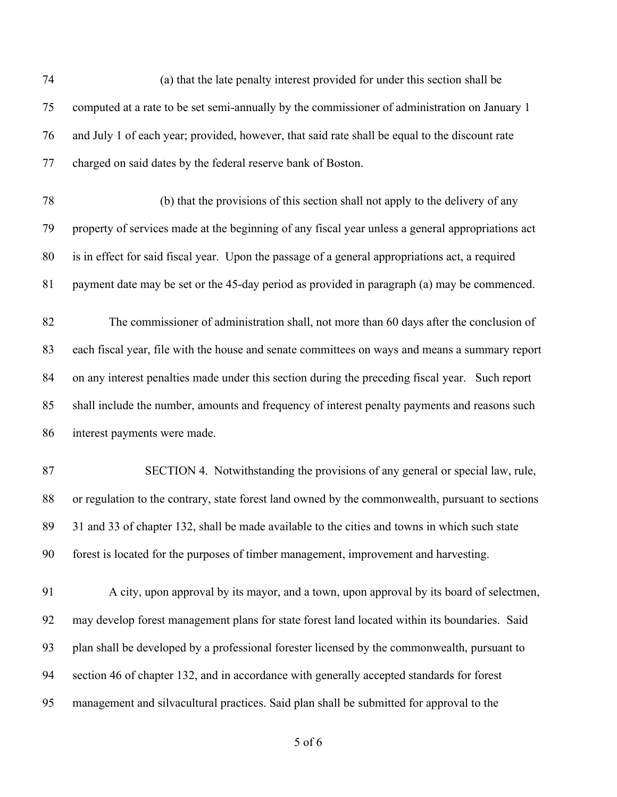| 74 | (a) that the late penalty interest provided for under this section shall be                       |
|----|---------------------------------------------------------------------------------------------------|
| 75 | computed at a rate to be set semi-annually by the commissioner of administration on January 1     |
| 76 | and July 1 of each year; provided, however, that said rate shall be equal to the discount rate    |
| 77 | charged on said dates by the federal reserve bank of Boston.                                      |
| 78 | (b) that the provisions of this section shall not apply to the delivery of any                    |
| 79 | property of services made at the beginning of any fiscal year unless a general appropriations act |
| 80 | is in effect for said fiscal year. Upon the passage of a general appropriations act, a required   |
| 81 | payment date may be set or the 45-day period as provided in paragraph (a) may be commenced.       |
| 82 | The commissioner of administration shall, not more than 60 days after the conclusion of           |
| 83 | each fiscal year, file with the house and senate committees on ways and means a summary report    |
| 84 | on any interest penalties made under this section during the preceding fiscal year. Such report   |
| 85 | shall include the number, amounts and frequency of interest penalty payments and reasons such     |
| 86 | interest payments were made.                                                                      |
| 87 | SECTION 4. Notwithstanding the provisions of any general or special law, rule,                    |
| 88 | or regulation to the contrary, state forest land owned by the commonwealth, pursuant to sections  |
| 89 | 31 and 33 of chapter 132, shall be made available to the cities and towns in which such state     |
| 90 | forest is located for the purposes of timber management, improvement and harvesting.              |
| 91 | A city, upon approval by its mayor, and a town, upon approval by its board of selectmen,          |
| 92 | may develop forest management plans for state forest land located within its boundaries. Said     |
| 93 | plan shall be developed by a professional forester licensed by the commonwealth, pursuant to      |
| 94 | section 46 of chapter 132, and in accordance with generally accepted standards for forest         |
| 95 | management and silvacultural practices. Said plan shall be submitted for approval to the          |